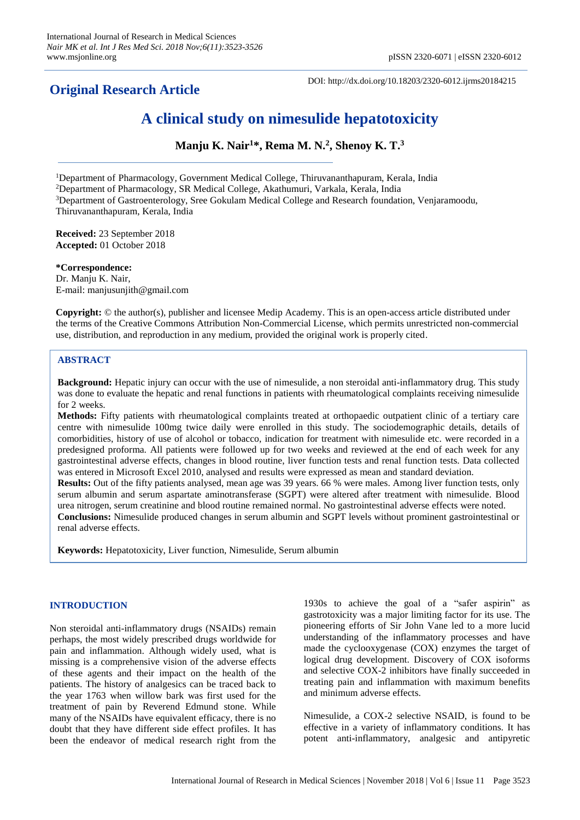# **Original Research Article**

DOI: http://dx.doi.org/10.18203/2320-6012.ijrms20184215

# **A clinical study on nimesulide hepatotoxicity**

**Manju K. Nair<sup>1</sup>\*, Rema M. N. 2 , Shenoy K. T. 3**

<sup>1</sup>Department of Pharmacology, Government Medical College, Thiruvananthapuram, Kerala, India

<sup>2</sup>Department of Pharmacology, SR Medical College, Akathumuri, Varkala, Kerala, India

<sup>3</sup>Department of Gastroenterology, Sree Gokulam Medical College and Research foundation, Venjaramoodu, Thiruvananthapuram, Kerala, India

**Received:** 23 September 2018 **Accepted:** 01 October 2018

**\*Correspondence:** Dr. Manju K. Nair, E-mail: manjusunjith@gmail.com

**Copyright:** © the author(s), publisher and licensee Medip Academy. This is an open-access article distributed under the terms of the Creative Commons Attribution Non-Commercial License, which permits unrestricted non-commercial use, distribution, and reproduction in any medium, provided the original work is properly cited.

# **ABSTRACT**

**Background:** Hepatic injury can occur with the use of nimesulide, a non steroidal anti-inflammatory drug. This study was done to evaluate the hepatic and renal functions in patients with rheumatological complaints receiving nimesulide for 2 weeks.

**Methods:** Fifty patients with rheumatological complaints treated at orthopaedic outpatient clinic of a tertiary care centre with nimesulide 100mg twice daily were enrolled in this study. The sociodemographic details, details of comorbidities, history of use of alcohol or tobacco, indication for treatment with nimesulide etc. were recorded in a predesigned proforma. All patients were followed up for two weeks and reviewed at the end of each week for any gastrointestinal adverse effects, changes in blood routine, liver function tests and renal function tests. Data collected was entered in Microsoft Excel 2010, analysed and results were expressed as mean and standard deviation. **Results:** Out of the fifty patients analysed, mean age was 39 years. 66 % were males. Among liver function tests, only serum albumin and serum aspartate aminotransferase (SGPT) were altered after treatment with nimesulide. Blood urea nitrogen, serum creatinine and blood routine remained normal. No gastrointestinal adverse effects were noted.

**Conclusions:** Nimesulide produced changes in serum albumin and SGPT levels without prominent gastrointestinal or renal adverse effects.

**Keywords:** Hepatotoxicity, Liver function, Nimesulide, Serum albumin

# **INTRODUCTION**

Non steroidal anti-inflammatory drugs (NSAIDs) remain perhaps, the most widely prescribed drugs worldwide for pain and inflammation. Although widely used, what is missing is a comprehensive vision of the adverse effects of these agents and their impact on the health of the patients. The history of analgesics can be traced back to the year 1763 when willow bark was first used for the treatment of pain by Reverend Edmund stone. While many of the NSAIDs have equivalent efficacy, there is no doubt that they have different side effect profiles. It has been the endeavor of medical research right from the 1930s to achieve the goal of a "safer aspirin" as gastrotoxicity was a major limiting factor for its use. The pioneering efforts of Sir John Vane led to a more lucid understanding of the inflammatory processes and have made the cyclooxygenase (COX) enzymes the target of logical drug development. Discovery of COX isoforms and selective COX-2 inhibitors have finally succeeded in treating pain and inflammation with maximum benefits and minimum adverse effects.

Nimesulide, a COX-2 selective NSAID, is found to be effective in a variety of inflammatory conditions. It has potent anti-inflammatory, analgesic and antipyretic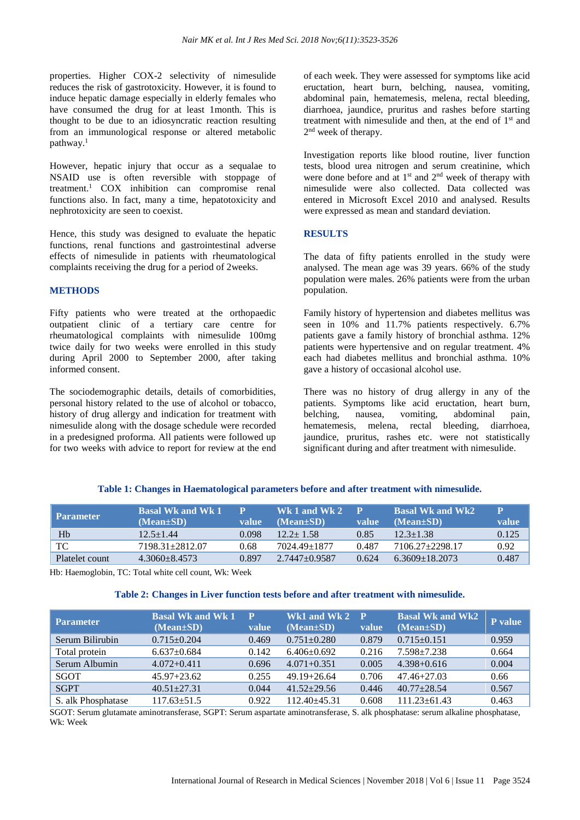properties. Higher COX-2 selectivity of nimesulide reduces the risk of gastrotoxicity. However, it is found to induce hepatic damage especially in elderly females who have consumed the drug for at least 1month. This is thought to be due to an idiosyncratic reaction resulting from an immunological response or altered metabolic pathway. 1

However, hepatic injury that occur as a sequalae to NSAID use is often reversible with stoppage of treatment. <sup>1</sup> COX inhibition can compromise renal functions also. In fact, many a time, hepatotoxicity and nephrotoxicity are seen to coexist.

Hence, this study was designed to evaluate the hepatic functions, renal functions and gastrointestinal adverse effects of nimesulide in patients with rheumatological complaints receiving the drug for a period of 2weeks.

#### **METHODS**

Fifty patients who were treated at the orthopaedic outpatient clinic of a tertiary care centre for rheumatological complaints with nimesulide 100mg twice daily for two weeks were enrolled in this study during April 2000 to September 2000, after taking informed consent.

The sociodemographic details, details of comorbidities, personal history related to the use of alcohol or tobacco, history of drug allergy and indication for treatment with nimesulide along with the dosage schedule were recorded in a predesigned proforma. All patients were followed up for two weeks with advice to report for review at the end of each week. They were assessed for symptoms like acid eructation, heart burn, belching, nausea, vomiting, abdominal pain, hematemesis, melena, rectal bleeding, diarrhoea, jaundice, pruritus and rashes before starting treatment with nimesulide and then, at the end of  $1<sup>st</sup>$  and 2<sup>nd</sup> week of therapy.

Investigation reports like blood routine, liver function tests, blood urea nitrogen and serum creatinine, which were done before and at 1<sup>st</sup> and 2<sup>nd</sup> week of therapy with nimesulide were also collected. Data collected was entered in Microsoft Excel 2010 and analysed. Results were expressed as mean and standard deviation.

#### **RESULTS**

The data of fifty patients enrolled in the study were analysed. The mean age was 39 years. 66% of the study population were males. 26% patients were from the urban population.

Family history of hypertension and diabetes mellitus was seen in 10% and 11.7% patients respectively. 6.7% patients gave a family history of bronchial asthma. 12% patients were hypertensive and on regular treatment. 4% each had diabetes mellitus and bronchial asthma. 10% gave a history of occasional alcohol use.

There was no history of drug allergy in any of the patients. Symptoms like acid eructation, heart burn, belching, nausea, vomiting, abdominal pain, hematemesis, melena, rectal bleeding, diarrhoea, jaundice, pruritus, rashes etc. were not statistically significant during and after treatment with nimesulide.

| <b>Parameter</b> | <b>Basal Wk and Wk 1'</b> |       | Wk 1 and Wk 2 $^{\circ}$ |       | <b>Basal Wk and Wk2</b> | P            |
|------------------|---------------------------|-------|--------------------------|-------|-------------------------|--------------|
|                  | $(Mean \pm SD)$           | value | $(Mean \pm SD)$          | value | $(Mean \pm SD)$         | <b>value</b> |
| Hb               | $12.5 + 1.44$             | 0.098 | $12.2 + 1.58$            | 0.85  | $12.3 + 1.38$           | 0.125        |
| TC               | 7198.31+2812.07           | 0.68  | 7024.49±1877             | 0.487 | 7106.27+2298.17         | 0.92         |
| Platelet count   | $4.3060 + 8.4573$         | 0.897 | $2.7447 + 0.9587$        | 0.624 | $6.3609 + 18.2073$      | 0.487        |

# **Table 1: Changes in Haematological parameters before and after treatment with nimesulide.**

Hb: Haemoglobin, TC: Total white cell count, Wk: Week

# **Table 2: Changes in Liver function tests before and after treatment with nimesulide.**

| <b>Parameter</b>   | <b>Basal Wk and Wk 1</b><br>$(Mean \pm SD)$ | $\mathbf P$<br>value | Wk1 and Wk 2<br>$(Mean \pm SD)$ | $\mathbf P$<br>value | <b>Basal Wk and Wk2</b><br>$(Mean \pm SD)$ | P value |
|--------------------|---------------------------------------------|----------------------|---------------------------------|----------------------|--------------------------------------------|---------|
| Serum Bilirubin    | $0.715+0.204$                               | 0.469                | $0.751 + 0.280$                 | 0.879                | $0.715+0.151$                              | 0.959   |
| Total protein      | $6.637 \pm 0.684$                           | 0.142                | $6.406 \pm 0.692$               | 0.216                | $7.598 \pm 7.238$                          | 0.664   |
| Serum Albumin      | $4.072 + 0.411$                             | 0.696                | $4.071 + 0.351$                 | 0.005                | $4.398 + 0.616$                            | 0.004   |
| <b>SGOT</b>        | $45.97 + 23.62$                             | 0.255                | $49.19 + 26.64$                 | 0.706                | $47.46 + 27.03$                            | 0.66    |
| <b>SGPT</b>        | $40.51 + 27.31$                             | 0.044                | $41.52 + 29.56$                 | 0.446                | $40.77 + 28.54$                            | 0.567   |
| S. alk Phosphatase | $117.63 \pm 51.5$                           | 0.922                | $112.40 + 45.31$                | 0.608                | $111.23 \pm 61.43$                         | 0.463   |

SGOT: Serum glutamate aminotransferase, SGPT: Serum aspartate aminotransferase, S. alk phosphatase: serum alkaline phosphatase, Wk: Week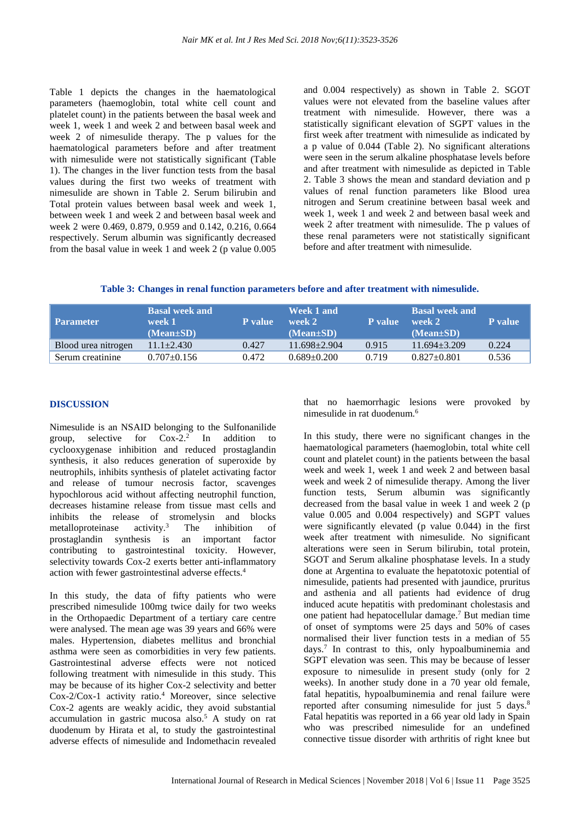Table 1 depicts the changes in the haematological parameters (haemoglobin, total white cell count and platelet count) in the patients between the basal week and week 1, week 1 and week 2 and between basal week and week 2 of nimesulide therapy. The p values for the haematological parameters before and after treatment with nimesulide were not statistically significant (Table 1). The changes in the liver function tests from the basal values during the first two weeks of treatment with nimesulide are shown in Table 2. Serum bilirubin and Total protein values between basal week and week 1, between week 1 and week 2 and between basal week and week 2 were 0.469, 0.879, 0.959 and 0.142, 0.216, 0.664 respectively. Serum albumin was significantly decreased from the basal value in week 1 and week 2 (p value 0.005 and 0.004 respectively) as shown in Table 2. SGOT values were not elevated from the baseline values after treatment with nimesulide. However, there was a statistically significant elevation of SGPT values in the first week after treatment with nimesulide as indicated by a p value of 0.044 (Table 2). No significant alterations were seen in the serum alkaline phosphatase levels before and after treatment with nimesulide as depicted in Table 2. Table 3 shows the mean and standard deviation and p values of renal function parameters like Blood urea nitrogen and Serum creatinine between basal week and week 1, week 1 and week 2 and between basal week and week 2 after treatment with nimesulide. The p values of these renal parameters were not statistically significant before and after treatment with nimesulide.

**Table 3: Changes in renal function parameters before and after treatment with nimesulide.**

| <b>Parameter</b>    | <b>Basal week and</b><br>week 1<br>$(Mean \pm SD)$ | <b>P</b> value | Week 1 and<br>week 2<br>$(Mean \pm SD)$ | <b>P</b> value | <b>Basal week and</b><br>week 2<br>$(Mean \pm SD)$ | <b>P</b> value |
|---------------------|----------------------------------------------------|----------------|-----------------------------------------|----------------|----------------------------------------------------|----------------|
| Blood urea nitrogen | $11.1 \pm 2.430$                                   | 0.427          | $11.698 + 2.904$                        | 0.915          | $11.694 + 3.209$                                   | 0.224          |
| Serum creatinine    | $0.707 \pm 0.156$                                  | 0.472          | $0.689 \pm 0.200$                       | 0.719          | $0.827+0.801$                                      | 0.536          |

# **DISCUSSION**

Nimesulide is an NSAID belonging to the Sulfonanilide group, selective for Cox-2. 2 In addition to cyclooxygenase inhibition and reduced prostaglandin synthesis, it also reduces generation of superoxide by neutrophils, inhibits synthesis of platelet activating factor and release of tumour necrosis factor, scavenges hypochlorous acid without affecting neutrophil function, decreases histamine release from tissue mast cells and inhibits the release of stromelysin and blocks metalloproteinase activity. The inhibition of prostaglandin synthesis is an important factor contributing to gastrointestinal toxicity. However, selectivity towards Cox-2 exerts better anti-inflammatory action with fewer gastrointestinal adverse effects. 4

In this study, the data of fifty patients who were prescribed nimesulide 100mg twice daily for two weeks in the Orthopaedic Department of a tertiary care centre were analysed. The mean age was 39 years and 66% were males. Hypertension, diabetes mellitus and bronchial asthma were seen as comorbidities in very few patients. Gastrointestinal adverse effects were not noticed following treatment with nimesulide in this study. This may be because of its higher Cox-2 selectivity and better Cox-2/Cox-1 activity ratio. <sup>4</sup> Moreover, since selective Cox-2 agents are weakly acidic, they avoid substantial accumulation in gastric mucosa also. <sup>5</sup> A study on rat duodenum by Hirata et al, to study the gastrointestinal adverse effects of nimesulide and Indomethacin revealed that no haemorrhagic lesions were provoked by nimesulide in rat duodenum.<sup>6</sup>

In this study, there were no significant changes in the haematological parameters (haemoglobin, total white cell count and platelet count) in the patients between the basal week and week 1, week 1 and week 2 and between basal week and week 2 of nimesulide therapy. Among the liver function tests, Serum albumin was significantly decreased from the basal value in week 1 and week 2 (p value 0.005 and 0.004 respectively) and SGPT values were significantly elevated (p value 0.044) in the first week after treatment with nimesulide. No significant alterations were seen in Serum bilirubin, total protein, SGOT and Serum alkaline phosphatase levels. In a study done at Argentina to evaluate the hepatotoxic potential of nimesulide, patients had presented with jaundice, pruritus and asthenia and all patients had evidence of drug induced acute hepatitis with predominant cholestasis and one patient had hepatocellular damage.<sup>7</sup> But median time of onset of symptoms were 25 days and 50% of cases normalised their liver function tests in a median of 55 days. 7 In contrast to this, only hypoalbuminemia and SGPT elevation was seen. This may be because of lesser exposure to nimesulide in present study (only for 2 weeks). In another study done in a 70 year old female, fatal hepatitis, hypoalbuminemia and renal failure were reported after consuming nimesulide for just 5 days.<sup>8</sup> Fatal hepatitis was reported in a 66 year old lady in Spain who was prescribed nimesulide for an undefined connective tissue disorder with arthritis of right knee but